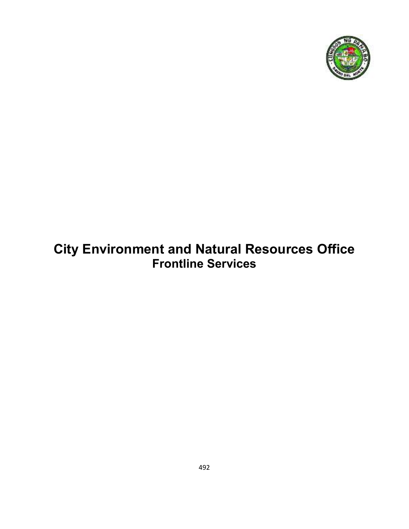

# **City Environment and Natural Resources Office Frontline Services**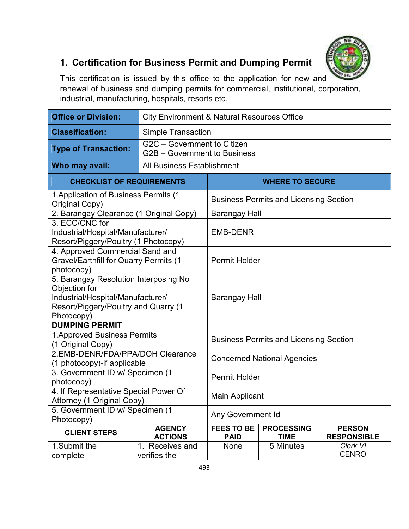

# **1. Certification for Business Permit and Dumping Permit**

This certification is issued by this office to the application for new and renewal of business and dumping permits for commercial, institutional, corporation, industrial, manufacturing, hospitals, resorts etc.

| <b>Office or Division:</b>                                                                                                                        |                                 | <b>City Environment &amp; Natural Resources Office</b>      |                                               |                                     |  |
|---------------------------------------------------------------------------------------------------------------------------------------------------|---------------------------------|-------------------------------------------------------------|-----------------------------------------------|-------------------------------------|--|
| <b>Classification:</b>                                                                                                                            |                                 | <b>Simple Transaction</b>                                   |                                               |                                     |  |
| <b>Type of Transaction:</b>                                                                                                                       |                                 | G2C - Government to Citizen<br>G2B - Government to Business |                                               |                                     |  |
| Who may avail:                                                                                                                                    | All Business Establishment      |                                                             |                                               |                                     |  |
| <b>CHECKLIST OF REQUIREMENTS</b>                                                                                                                  |                                 |                                                             | <b>WHERE TO SECURE</b>                        |                                     |  |
| 1. Application of Business Permits (1<br>Original Copy)                                                                                           |                                 |                                                             | <b>Business Permits and Licensing Section</b> |                                     |  |
| 2. Barangay Clearance (1 Original Copy)                                                                                                           |                                 | Barangay Hall                                               |                                               |                                     |  |
| 3. ECC/CNC for<br>Industrial/Hospital/Manufacturer/<br>Resort/Piggery/Poultry (1 Photocopy)                                                       |                                 | <b>EMB-DENR</b>                                             |                                               |                                     |  |
| 4. Approved Commercial Sand and<br><b>Gravel/Earthfill for Quarry Permits (1</b><br>photocopy)                                                    |                                 | Permit Holder                                               |                                               |                                     |  |
| 5. Barangay Resolution Interposing No<br>Objection for<br>Industrial/Hospital/Manufacturer/<br>Resort/Piggery/Poultry and Quarry (1<br>Photocopy) |                                 | Barangay Hall                                               |                                               |                                     |  |
| <b>DUMPING PERMIT</b>                                                                                                                             |                                 |                                                             |                                               |                                     |  |
| 1. Approved Business Permits<br>(1 Original Copy)                                                                                                 |                                 |                                                             | <b>Business Permits and Licensing Section</b> |                                     |  |
| 2.EMB-DENR/FDA/PPA/DOH Clearance<br>(1 photocopy)-if applicable                                                                                   |                                 |                                                             | <b>Concerned National Agencies</b>            |                                     |  |
| 3. Government ID w/ Specimen (1<br>photocopy)                                                                                                     |                                 |                                                             | <b>Permit Holder</b>                          |                                     |  |
| 4. If Representative Special Power Of<br>Attorney (1 Original Copy)                                                                               |                                 | <b>Main Applicant</b>                                       |                                               |                                     |  |
| 5. Government ID w/ Specimen (1<br>Photocopy)                                                                                                     |                                 | <b>Any Government Id</b>                                    |                                               |                                     |  |
| <b>CLIENT STEPS</b>                                                                                                                               | <b>AGENCY</b><br><b>ACTIONS</b> | <b>FEES TO BE</b><br><b>PAID</b>                            | <b>PROCESSING</b><br><b>TIME</b>              | <b>PERSON</b><br><b>RESPONSIBLE</b> |  |
| 1.Submit the                                                                                                                                      | 1. Receives and                 | None                                                        | 5 Minutes                                     | Clerk VI                            |  |
| complete                                                                                                                                          | verifies the                    |                                                             |                                               | <b>CENRO</b>                        |  |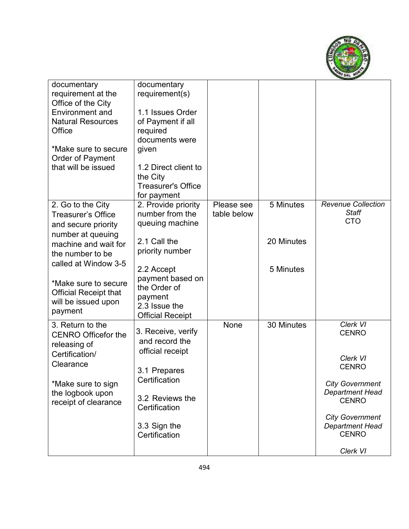

| documentary                                         | documentary                           |             |            |                           |
|-----------------------------------------------------|---------------------------------------|-------------|------------|---------------------------|
| requirement at the                                  | requirement(s)                        |             |            |                           |
| Office of the City                                  |                                       |             |            |                           |
| <b>Environment and</b>                              | 1.1 Issues Order                      |             |            |                           |
| <b>Natural Resources</b>                            | of Payment if all                     |             |            |                           |
| Office                                              | required                              |             |            |                           |
|                                                     | documents were                        |             |            |                           |
| *Make sure to secure                                | given                                 |             |            |                           |
| Order of Payment                                    |                                       |             |            |                           |
| that will be issued                                 | 1.2 Direct client to                  |             |            |                           |
|                                                     | the City<br><b>Treasurer's Office</b> |             |            |                           |
|                                                     |                                       |             |            |                           |
| 2. Go to the City                                   | for payment<br>2. Provide priority    | Please see  | 5 Minutes  | <b>Revenue Collection</b> |
| <b>Treasurer's Office</b>                           | number from the                       | table below |            | <b>Staff</b>              |
| and secure priority                                 | queuing machine                       |             |            | <b>CTO</b>                |
| number at queuing                                   |                                       |             |            |                           |
| machine and wait for                                | 2.1 Call the                          |             | 20 Minutes |                           |
| the number to be                                    | priority number                       |             |            |                           |
| called at Window 3-5                                |                                       |             |            |                           |
|                                                     | 2.2 Accept                            |             | 5 Minutes  |                           |
| *Make sure to secure                                | payment based on                      |             |            |                           |
|                                                     | the Order of                          |             |            |                           |
| <b>Official Receipt that</b><br>will be issued upon | payment                               |             |            |                           |
| payment                                             | 2.3 Issue the                         |             |            |                           |
|                                                     | <b>Official Receipt</b>               |             |            |                           |
| 3. Return to the                                    | 3. Receive, verify                    | None        | 30 Minutes | Clerk VI                  |
| <b>CENRO Officefor the</b>                          | and record the                        |             |            | <b>CENRO</b>              |
| releasing of                                        | official receipt                      |             |            |                           |
| Certification/                                      |                                       |             |            | Clerk VI                  |
| Clearance                                           |                                       |             |            | <b>CENRO</b>              |
|                                                     | 3.1 Prepares<br>Certification         |             |            |                           |
| *Make sure to sign                                  |                                       |             |            | <b>City Government</b>    |
| the logbook upon                                    | 3.2 Reviews the                       |             |            | <b>Department Head</b>    |
| receipt of clearance                                | Certification                         |             |            | <b>CENRO</b>              |
|                                                     |                                       |             |            | <b>City Government</b>    |
|                                                     | 3.3 Sign the                          |             |            | <b>Department Head</b>    |
|                                                     | Certification                         |             |            | <b>CENRO</b>              |
|                                                     |                                       |             |            |                           |
|                                                     |                                       |             |            | Clerk VI                  |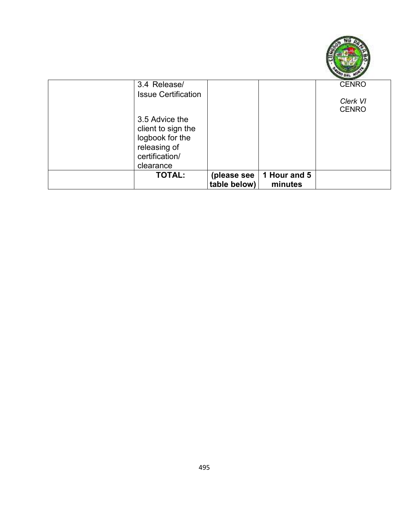

| 3.4 Release/               |              |              | <b>CENRO</b> |
|----------------------------|--------------|--------------|--------------|
| <b>Issue Certification</b> |              |              |              |
|                            |              |              | Clerk VI     |
|                            |              |              | <b>CENRO</b> |
| 3.5 Advice the             |              |              |              |
| client to sign the         |              |              |              |
| logbook for the            |              |              |              |
| releasing of               |              |              |              |
|                            |              |              |              |
| certification/             |              |              |              |
| clearance                  |              |              |              |
| <b>TOTAL:</b>              | (please see  | 1 Hour and 5 |              |
|                            | table below) | minutes      |              |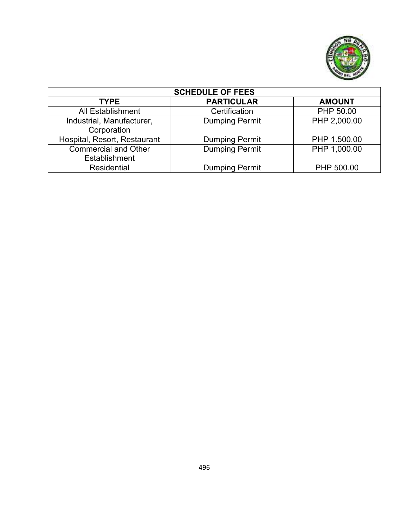

| <b>SCHEDULE OF FEES</b>                      |                       |               |  |  |  |
|----------------------------------------------|-----------------------|---------------|--|--|--|
| <b>TYPE</b>                                  | <b>PARTICULAR</b>     | <b>AMOUNT</b> |  |  |  |
| <b>All Establishment</b>                     | Certification         | PHP 50.00     |  |  |  |
| Industrial, Manufacturer,<br>Corporation     | <b>Dumping Permit</b> | PHP 2,000.00  |  |  |  |
| Hospital, Resort, Restaurant                 | <b>Dumping Permit</b> | PHP 1.500.00  |  |  |  |
| <b>Commercial and Other</b><br>Establishment | <b>Dumping Permit</b> | PHP 1,000.00  |  |  |  |
| <b>Residential</b>                           | <b>Dumping Permit</b> | PHP 500.00    |  |  |  |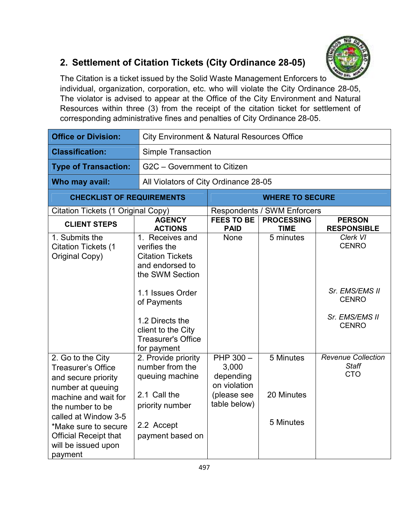

# **2. Settlement of Citation Tickets (City Ordinance 28-05)**

The Citation is a ticket issued by the Solid Waste Management Enforcers to individual, organization, corporation, etc. who will violate the City Ordinance 28-05, The violator is advised to appear at the Office of the City Environment and Natural Resources within three (3) from the receipt of the citation ticket for settlement of corresponding administrative fines and penalties of City Ordinance 28-05.

| <b>Office or Division:</b>                                                                                                                                                                                                                               |                                                                                                                                                                                                                          | <b>City Environment &amp; Natural Resources Office</b>                         |                                      |                                                                                              |  |  |
|----------------------------------------------------------------------------------------------------------------------------------------------------------------------------------------------------------------------------------------------------------|--------------------------------------------------------------------------------------------------------------------------------------------------------------------------------------------------------------------------|--------------------------------------------------------------------------------|--------------------------------------|----------------------------------------------------------------------------------------------|--|--|
| <b>Classification:</b>                                                                                                                                                                                                                                   | <b>Simple Transaction</b>                                                                                                                                                                                                |                                                                                |                                      |                                                                                              |  |  |
| <b>Type of Transaction:</b>                                                                                                                                                                                                                              |                                                                                                                                                                                                                          | G2C - Government to Citizen                                                    |                                      |                                                                                              |  |  |
| Who may avail:                                                                                                                                                                                                                                           | All Violators of City Ordinance 28-05                                                                                                                                                                                    |                                                                                |                                      |                                                                                              |  |  |
| <b>CHECKLIST OF REQUIREMENTS</b>                                                                                                                                                                                                                         |                                                                                                                                                                                                                          |                                                                                | <b>WHERE TO SECURE</b>               |                                                                                              |  |  |
| <b>Citation Tickets (1 Original Copy)</b>                                                                                                                                                                                                                |                                                                                                                                                                                                                          |                                                                                | <b>Respondents / SWM Enforcers</b>   |                                                                                              |  |  |
| <b>CLIENT STEPS</b>                                                                                                                                                                                                                                      | <b>AGENCY</b><br><b>ACTIONS</b>                                                                                                                                                                                          | <b>FEES TO BE</b><br><b>PAID</b>                                               | <b>PROCESSING</b><br><b>TIME</b>     | <b>PERSON</b><br><b>RESPONSIBLE</b>                                                          |  |  |
| 1. Submits the<br><b>Citation Tickets (1</b><br>Original Copy)                                                                                                                                                                                           | 1. Receives and<br>verifies the<br><b>Citation Tickets</b><br>and endorsed to<br>the SWM Section<br>1.1 Issues Order<br>of Payments<br>1.2 Directs the<br>client to the City<br><b>Treasurer's Office</b><br>for payment | None                                                                           | 5 minutes                            | Clerk VI<br><b>CENRO</b><br>Sr. EMS/EMS II<br><b>CENRO</b><br>Sr. EMS/EMS II<br><b>CENRO</b> |  |  |
| 2. Go to the City<br><b>Treasurer's Office</b><br>and secure priority<br>number at queuing<br>machine and wait for<br>the number to be<br>called at Window 3-5<br>*Make sure to secure<br><b>Official Receipt that</b><br>will be issued upon<br>payment | 2. Provide priority<br>number from the<br>queuing machine<br>2.1 Call the<br>priority number<br>2.2 Accept<br>payment based on                                                                                           | PHP 300 -<br>3,000<br>depending<br>on violation<br>(please see<br>table below) | 5 Minutes<br>20 Minutes<br>5 Minutes | <b>Revenue Collection</b><br><b>Staff</b><br><b>CTO</b>                                      |  |  |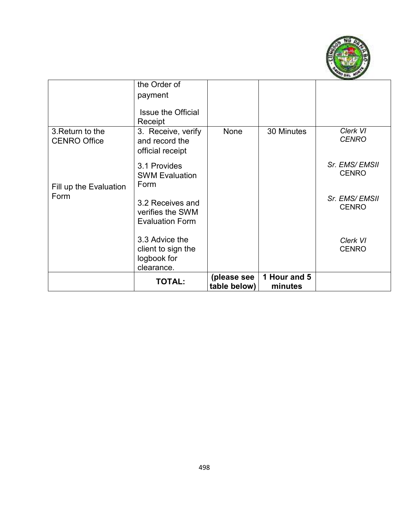

|                                         | <b>TOTAL:</b>                                                     | (please see<br>table below) | 1 Hour and 5<br>minutes |                               |
|-----------------------------------------|-------------------------------------------------------------------|-----------------------------|-------------------------|-------------------------------|
|                                         | 3.3 Advice the<br>client to sign the<br>logbook for<br>clearance. |                             |                         | Clerk VI<br><b>CENRO</b>      |
| Form                                    | 3.2 Receives and<br>verifies the SWM<br><b>Evaluation Form</b>    |                             |                         | Sr. EMS/EMSII<br><b>CENRO</b> |
| Fill up the Evaluation                  | 3.1 Provides<br><b>SWM Evaluation</b><br>Form                     |                             |                         | Sr. EMS/EMSII<br><b>CENRO</b> |
| 3. Return to the<br><b>CENRO Office</b> | 3. Receive, verify<br>and record the<br>official receipt          | None                        | 30 Minutes              | Clerk VI<br><b>CENRO</b>      |
|                                         | the Order of<br>payment<br><b>Issue the Official</b><br>Receipt   |                             |                         |                               |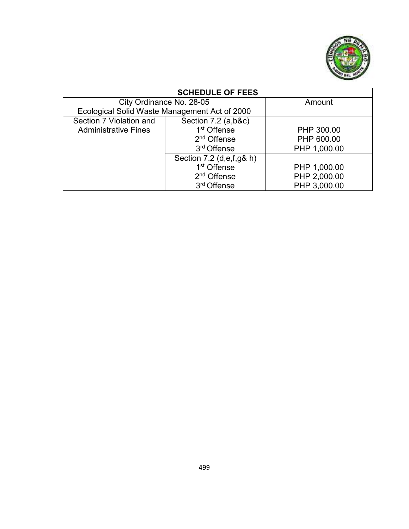

| <b>SCHEDULE OF FEES</b>                       |                          |              |  |  |  |
|-----------------------------------------------|--------------------------|--------------|--|--|--|
|                                               | City Ordinance No. 28-05 | Amount       |  |  |  |
| Ecological Solid Waste Management Act of 2000 |                          |              |  |  |  |
| Section 7 Violation and                       | Section $7.2$ (a,b&c)    |              |  |  |  |
| <b>Administrative Fines</b>                   | 1 <sup>st</sup> Offense  | PHP 300.00   |  |  |  |
|                                               | 2 <sup>nd</sup> Offense  | PHP 600.00   |  |  |  |
|                                               | 3rd Offense              |              |  |  |  |
|                                               | Section 7.2 (d,e,f,g& h) |              |  |  |  |
|                                               | 1 <sup>st</sup> Offense  | PHP 1,000.00 |  |  |  |
|                                               | 2 <sup>nd</sup> Offense  | PHP 2,000.00 |  |  |  |
|                                               | 3 <sup>rd</sup> Offense  | PHP 3,000.00 |  |  |  |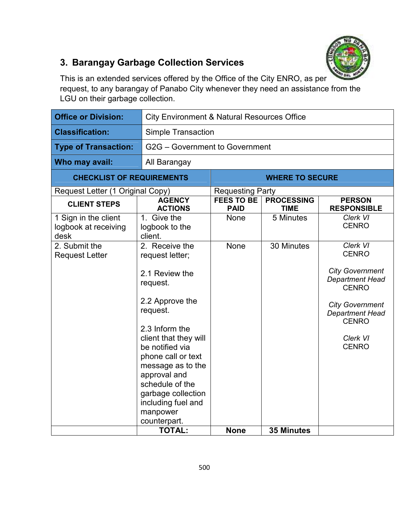

# **3. Barangay Garbage Collection Services**

This is an extended services offered by the Office of the City ENRO, as per request, to any barangay of Panabo City whenever they need an assistance from the LGU on their garbage collection.

| <b>Office or Division:</b>                           |                                                                                                                                                                                                                                                                                                                    | <b>City Environment &amp; Natural Resources Office</b> |                                  |                                                                                                                                                                                                     |  |  |
|------------------------------------------------------|--------------------------------------------------------------------------------------------------------------------------------------------------------------------------------------------------------------------------------------------------------------------------------------------------------------------|--------------------------------------------------------|----------------------------------|-----------------------------------------------------------------------------------------------------------------------------------------------------------------------------------------------------|--|--|
| <b>Classification:</b>                               |                                                                                                                                                                                                                                                                                                                    | <b>Simple Transaction</b>                              |                                  |                                                                                                                                                                                                     |  |  |
| <b>Type of Transaction:</b>                          |                                                                                                                                                                                                                                                                                                                    | G2G - Government to Government                         |                                  |                                                                                                                                                                                                     |  |  |
| Who may avail:                                       | All Barangay                                                                                                                                                                                                                                                                                                       |                                                        |                                  |                                                                                                                                                                                                     |  |  |
| <b>CHECKLIST OF REQUIREMENTS</b>                     |                                                                                                                                                                                                                                                                                                                    |                                                        | <b>WHERE TO SECURE</b>           |                                                                                                                                                                                                     |  |  |
| Request Letter (1 Original Copy)                     |                                                                                                                                                                                                                                                                                                                    | <b>Requesting Party</b>                                |                                  |                                                                                                                                                                                                     |  |  |
| <b>CLIENT STEPS</b>                                  | <b>AGENCY</b><br><b>ACTIONS</b>                                                                                                                                                                                                                                                                                    | <b>FEES TO BE</b><br><b>PAID</b>                       | <b>PROCESSING</b><br><b>TIME</b> | <b>PERSON</b><br><b>RESPONSIBLE</b>                                                                                                                                                                 |  |  |
| 1 Sign in the client<br>logbook at receiving<br>desk | 1. Give the<br>logbook to the<br>client.                                                                                                                                                                                                                                                                           | None                                                   | 5 Minutes                        | Clerk VI<br><b>CENRO</b>                                                                                                                                                                            |  |  |
| 2. Submit the<br><b>Request Letter</b>               | 2. Receive the<br>request letter;<br>2.1 Review the<br>request.<br>2.2 Approve the<br>request.<br>2.3 Inform the<br>client that they will<br>be notified via<br>phone call or text<br>message as to the<br>approval and<br>schedule of the<br>garbage collection<br>including fuel and<br>manpower<br>counterpart. | None                                                   | 30 Minutes                       | <b>Clerk VI</b><br><b>CENRO</b><br><b>City Government</b><br><b>Department Head</b><br><b>CENRO</b><br><b>City Government</b><br><b>Department Head</b><br><b>CENRO</b><br>Clerk VI<br><b>CENRO</b> |  |  |
|                                                      | <b>TOTAL:</b>                                                                                                                                                                                                                                                                                                      | <b>None</b>                                            | <b>35 Minutes</b>                |                                                                                                                                                                                                     |  |  |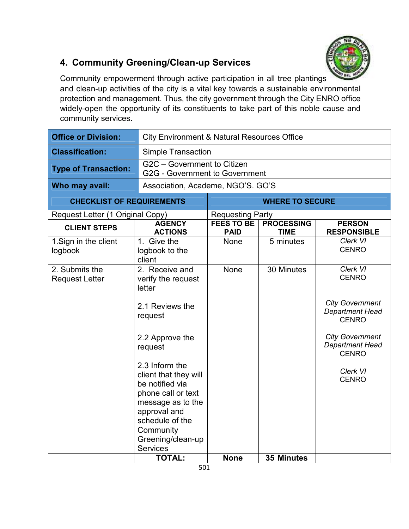

# **4. Community Greening/Clean-up Services**

Community empowerment through active participation in all tree plantings and clean-up activities of the city is a vital key towards a sustainable environmental protection and management. Thus, the city government through the City ENRO office widely-open the opportunity of its constituents to take part of this noble cause and community services.

| <b>Office or Division:</b>              |                                                                                                                                                                                                                                                                                                             | <b>City Environment &amp; Natural Resources Office</b>               |                                  |                                                                                                                                                                                       |  |  |
|-----------------------------------------|-------------------------------------------------------------------------------------------------------------------------------------------------------------------------------------------------------------------------------------------------------------------------------------------------------------|----------------------------------------------------------------------|----------------------------------|---------------------------------------------------------------------------------------------------------------------------------------------------------------------------------------|--|--|
| <b>Classification:</b>                  |                                                                                                                                                                                                                                                                                                             | <b>Simple Transaction</b>                                            |                                  |                                                                                                                                                                                       |  |  |
| <b>Type of Transaction:</b>             |                                                                                                                                                                                                                                                                                                             | G2C - Government to Citizen<br><b>G2G - Government to Government</b> |                                  |                                                                                                                                                                                       |  |  |
| Who may avail:                          | Association, Academe, NGO'S. GO'S                                                                                                                                                                                                                                                                           |                                                                      |                                  |                                                                                                                                                                                       |  |  |
| <b>CHECKLIST OF REQUIREMENTS</b>        |                                                                                                                                                                                                                                                                                                             |                                                                      | <b>WHERE TO SECURE</b>           |                                                                                                                                                                                       |  |  |
| Request Letter (1 Original Copy)        |                                                                                                                                                                                                                                                                                                             | <b>Requesting Party</b>                                              |                                  |                                                                                                                                                                                       |  |  |
| <b>CLIENT STEPS</b>                     | <b>AGENCY</b><br><b>ACTIONS</b>                                                                                                                                                                                                                                                                             | <b>FEES TO BE</b><br><b>PAID</b>                                     | <b>PROCESSING</b><br><b>TIME</b> | <b>PERSON</b><br><b>RESPONSIBLE</b>                                                                                                                                                   |  |  |
| 1. Sign in the client<br>logbook        | 1. Give the<br>logbook to the<br>client                                                                                                                                                                                                                                                                     | None                                                                 | 5 minutes                        | Clerk VI<br><b>CENRO</b>                                                                                                                                                              |  |  |
| 2. Submits the<br><b>Request Letter</b> | 2. Receive and<br>verify the request<br>letter<br>2.1 Reviews the<br>request<br>2.2 Approve the<br>request<br>2.3 Inform the<br>client that they will<br>be notified via<br>phone call or text<br>message as to the<br>approval and<br>schedule of the<br>Community<br>Greening/clean-up<br><b>Services</b> | None                                                                 | 30 Minutes                       | Clerk VI<br><b>CENRO</b><br><b>City Government</b><br><b>Department Head</b><br><b>CENRO</b><br><b>City Government</b><br>Department Head<br><b>CENRO</b><br>Clerk VI<br><b>CENRO</b> |  |  |
|                                         | <b>TOTAL:</b>                                                                                                                                                                                                                                                                                               | <b>None</b>                                                          | <b>35 Minutes</b>                |                                                                                                                                                                                       |  |  |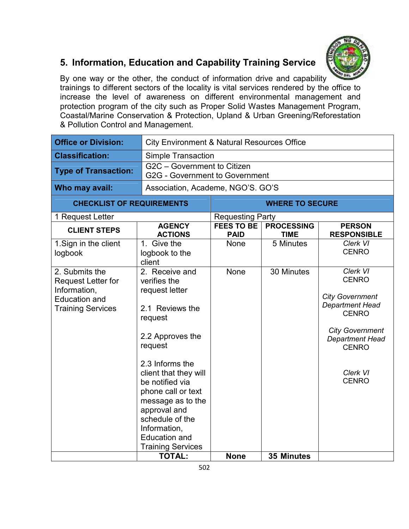

# **5. Information, Education and Capability Training Service**

By one way or the other, the conduct of information drive and capability trainings to different sectors of the locality is vital services rendered by the office to increase the level of awareness on different environmental management and protection program of the city such as Proper Solid Wastes Management Program, Coastal/Marine Conservation & Protection, Upland & Urban Greening/Reforestation & Pollution Control and Management.

| <b>City Environment &amp; Natural Resources Office</b>                                                                                                                                                                                                                                                                         |                                                                      |                                  |                                                                                                                                                                                                     |  |  |
|--------------------------------------------------------------------------------------------------------------------------------------------------------------------------------------------------------------------------------------------------------------------------------------------------------------------------------|----------------------------------------------------------------------|----------------------------------|-----------------------------------------------------------------------------------------------------------------------------------------------------------------------------------------------------|--|--|
|                                                                                                                                                                                                                                                                                                                                | <b>Simple Transaction</b>                                            |                                  |                                                                                                                                                                                                     |  |  |
|                                                                                                                                                                                                                                                                                                                                | G2C - Government to Citizen<br><b>G2G - Government to Government</b> |                                  |                                                                                                                                                                                                     |  |  |
|                                                                                                                                                                                                                                                                                                                                |                                                                      |                                  |                                                                                                                                                                                                     |  |  |
|                                                                                                                                                                                                                                                                                                                                |                                                                      | <b>WHERE TO SECURE</b>           |                                                                                                                                                                                                     |  |  |
|                                                                                                                                                                                                                                                                                                                                |                                                                      |                                  |                                                                                                                                                                                                     |  |  |
| <b>ACTIONS</b>                                                                                                                                                                                                                                                                                                                 | <b>PAID</b>                                                          | <b>PROCESSING</b><br><b>TIME</b> | <b>PERSON</b><br><b>RESPONSIBLE</b>                                                                                                                                                                 |  |  |
| 1. Give the<br>logbook to the<br>client                                                                                                                                                                                                                                                                                        | None                                                                 | 5 Minutes                        | Clerk VI<br><b>CENRO</b>                                                                                                                                                                            |  |  |
| 2. Receive and<br>verifies the<br>request letter<br>2.1 Reviews the<br>request<br>2.2 Approves the<br>request<br>2.3 Informs the<br>client that they will<br>be notified via<br>phone call or text<br>message as to the<br>approval and<br>schedule of the<br>Information,<br><b>Education and</b><br><b>Training Services</b> | None                                                                 | 30 Minutes                       | <b>Clerk VI</b><br><b>CENRO</b><br><b>City Government</b><br><b>Department Head</b><br><b>CENRO</b><br><b>City Government</b><br><b>Department Head</b><br><b>CENRO</b><br>Clerk VI<br><b>CENRO</b> |  |  |
|                                                                                                                                                                                                                                                                                                                                |                                                                      |                                  |                                                                                                                                                                                                     |  |  |
|                                                                                                                                                                                                                                                                                                                                | <b>CHECKLIST OF REQUIREMENTS</b><br><b>AGENCY</b><br><b>TOTAL:</b>   | <b>FEES TO BE</b><br><b>None</b> | Association, Academe, NGO'S. GO'S<br><b>Requesting Party</b><br>35 Minutes                                                                                                                          |  |  |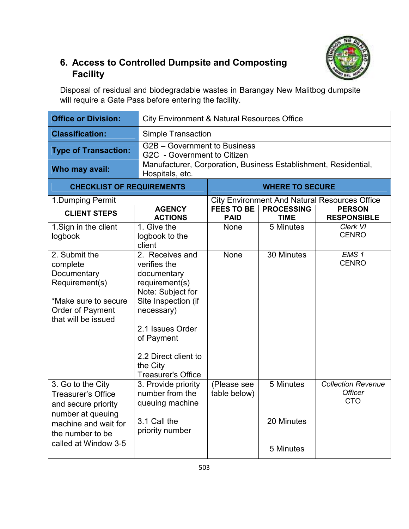

### **6. Access to Controlled Dumpsite and Composting Facility**

Disposal of residual and biodegradable wastes in Barangay New Malitbog dumpsite will require a Gate Pass before entering the facility.

| <b>Office or Division:</b>                                                                                                                                     | <b>City Environment &amp; Natural Resources Office</b>                                                                                                                                                                        |                                                             |                                      |                                                           |  |  |
|----------------------------------------------------------------------------------------------------------------------------------------------------------------|-------------------------------------------------------------------------------------------------------------------------------------------------------------------------------------------------------------------------------|-------------------------------------------------------------|--------------------------------------|-----------------------------------------------------------|--|--|
| <b>Classification:</b>                                                                                                                                         |                                                                                                                                                                                                                               | <b>Simple Transaction</b>                                   |                                      |                                                           |  |  |
| <b>Type of Transaction:</b>                                                                                                                                    |                                                                                                                                                                                                                               | G2B - Government to Business<br>G2C - Government to Citizen |                                      |                                                           |  |  |
| Who may avail:                                                                                                                                                 | Manufacturer, Corporation, Business Establishment, Residential,<br>Hospitals, etc.                                                                                                                                            |                                                             |                                      |                                                           |  |  |
| <b>CHECKLIST OF REQUIREMENTS</b>                                                                                                                               |                                                                                                                                                                                                                               |                                                             | <b>WHERE TO SECURE</b>               |                                                           |  |  |
| 1. Dumping Permit                                                                                                                                              |                                                                                                                                                                                                                               |                                                             |                                      | <b>City Environment And Natural Resources Office</b>      |  |  |
| <b>CLIENT STEPS</b>                                                                                                                                            | <b>AGENCY</b><br><b>ACTIONS</b>                                                                                                                                                                                               | <b>FEES TO BE</b><br><b>PAID</b>                            | <b>PROCESSING</b><br><b>TIME</b>     | <b>PERSON</b><br><b>RESPONSIBLE</b>                       |  |  |
| 1. Sign in the client<br>logbook                                                                                                                               | 1. Give the<br>logbook to the<br>client                                                                                                                                                                                       | None                                                        | 5 Minutes                            | Clerk VI<br><b>CENRO</b>                                  |  |  |
| 2. Submit the<br>complete<br>Documentary<br>Requirement(s)<br>*Make sure to secure<br><b>Order of Payment</b><br>that will be issued                           | 2. Receives and<br>verifies the<br>documentary<br>requirement(s)<br>Note: Subject for<br>Site Inspection (if<br>necessary)<br>2.1 Issues Order<br>of Payment<br>2.2 Direct client to<br>the City<br><b>Treasurer's Office</b> | None                                                        | 30 Minutes                           | EMS <sub>1</sub><br><b>CENRO</b>                          |  |  |
| 3. Go to the City<br><b>Treasurer's Office</b><br>and secure priority<br>number at queuing<br>machine and wait for<br>the number to be<br>called at Window 3-5 | 3. Provide priority<br>number from the<br>queuing machine<br>3.1 Call the<br>priority number                                                                                                                                  | (Please see<br>table below)                                 | 5 Minutes<br>20 Minutes<br>5 Minutes | <b>Collection Revenue</b><br><b>Officer</b><br><b>CTO</b> |  |  |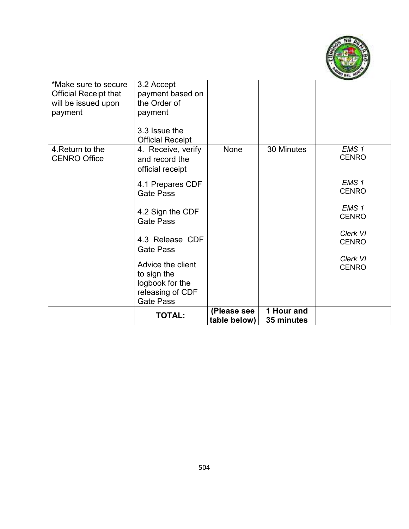

| *Make sure to secure<br><b>Official Receipt that</b> | 3.2 Accept<br>payment based on           |                             |                          |                  |
|------------------------------------------------------|------------------------------------------|-----------------------------|--------------------------|------------------|
| will be issued upon                                  | the Order of                             |                             |                          |                  |
| payment                                              | payment                                  |                             |                          |                  |
|                                                      | 3.3 Issue the<br><b>Official Receipt</b> |                             |                          |                  |
| 4. Return to the                                     | 4. Receive, verify                       | None                        | 30 Minutes               | EMS <sub>1</sub> |
| <b>CENRO Office</b>                                  | and record the                           |                             |                          | <b>CENRO</b>     |
|                                                      | official receipt                         |                             |                          |                  |
|                                                      | 4.1 Prepares CDF                         |                             |                          | EMS <sub>1</sub> |
|                                                      | <b>Gate Pass</b>                         |                             |                          | <b>CENRO</b>     |
|                                                      |                                          |                             |                          | EMS <sub>1</sub> |
|                                                      | 4.2 Sign the CDF                         |                             |                          | <b>CENRO</b>     |
|                                                      | <b>Gate Pass</b>                         |                             |                          |                  |
|                                                      | 4.3 Release CDF                          |                             |                          | Clerk VI         |
|                                                      | <b>Gate Pass</b>                         |                             |                          | <b>CENRO</b>     |
|                                                      |                                          |                             |                          | Clerk VI         |
|                                                      | Advice the client                        |                             |                          | <b>CENRO</b>     |
|                                                      | to sign the                              |                             |                          |                  |
|                                                      | logbook for the<br>releasing of CDF      |                             |                          |                  |
|                                                      | <b>Gate Pass</b>                         |                             |                          |                  |
|                                                      | <b>TOTAL:</b>                            | (Please see<br>table below) | 1 Hour and<br>35 minutes |                  |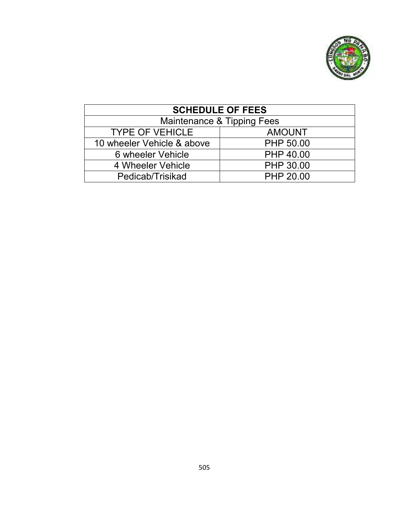

| <b>SCHEDULE OF FEES</b>    |               |  |  |
|----------------------------|---------------|--|--|
| Maintenance & Tipping Fees |               |  |  |
| <b>TYPE OF VEHICLE</b>     | <b>AMOUNT</b> |  |  |
| 10 wheeler Vehicle & above | PHP 50.00     |  |  |
| 6 wheeler Vehicle          | PHP 40.00     |  |  |
| 4 Wheeler Vehicle          | PHP 30.00     |  |  |
| Pedicab/Trisikad           | PHP 20.00     |  |  |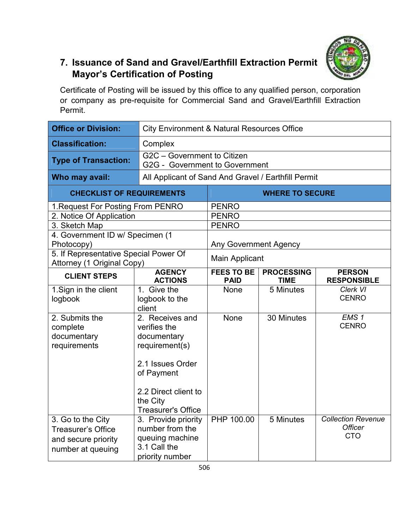

# **7. Issuance of Sand and Gravel/Earthfill Extraction Permit Mayor's Certification of Posting**

Certificate of Posting will be issued by this office to any qualified person, corporation or company as pre-requisite for Commercial Sand and Gravel/Earthfill Extraction Permit.

| <b>Office or Division:</b>                                                                 | <b>City Environment &amp; Natural Resources Office</b>                                                                                                              |                                  |                                  |                                                           |
|--------------------------------------------------------------------------------------------|---------------------------------------------------------------------------------------------------------------------------------------------------------------------|----------------------------------|----------------------------------|-----------------------------------------------------------|
| <b>Classification:</b>                                                                     | Complex                                                                                                                                                             |                                  |                                  |                                                           |
| <b>Type of Transaction:</b>                                                                | G2C - Government to Citizen<br>G2G - Government to Government                                                                                                       |                                  |                                  |                                                           |
| Who may avail:                                                                             | All Applicant of Sand And Gravel / Earthfill Permit                                                                                                                 |                                  |                                  |                                                           |
| <b>CHECKLIST OF REQUIREMENTS</b>                                                           |                                                                                                                                                                     | <b>WHERE TO SECURE</b>           |                                  |                                                           |
| 1. Request For Posting From PENRO                                                          |                                                                                                                                                                     | <b>PENRO</b>                     |                                  |                                                           |
| 2. Notice Of Application                                                                   |                                                                                                                                                                     | <b>PENRO</b>                     |                                  |                                                           |
| 3. Sketch Map                                                                              |                                                                                                                                                                     | <b>PENRO</b>                     |                                  |                                                           |
| 4. Government ID w/ Specimen (1                                                            |                                                                                                                                                                     |                                  |                                  |                                                           |
| Photocopy)                                                                                 |                                                                                                                                                                     | <b>Any Government Agency</b>     |                                  |                                                           |
| 5. If Representative Special Power Of<br>Attorney (1 Original Copy)                        |                                                                                                                                                                     | <b>Main Applicant</b>            |                                  |                                                           |
| <b>CLIENT STEPS</b>                                                                        | <b>AGENCY</b><br><b>ACTIONS</b>                                                                                                                                     | <b>FEES TO BE</b><br><b>PAID</b> | <b>PROCESSING</b><br><b>TIME</b> | <b>PERSON</b><br><b>RESPONSIBLE</b>                       |
| 1. Sign in the client<br>logbook                                                           | 1. Give the<br>logbook to the<br>client                                                                                                                             | None                             | 5 Minutes                        | Clerk VI<br><b>CENRO</b>                                  |
| 2. Submits the<br>complete<br>documentary<br>requirements                                  | 2. Receives and<br>verifies the<br>documentary<br>requirement(s)<br>2.1 Issues Order<br>of Payment<br>2.2 Direct client to<br>the City<br><b>Treasurer's Office</b> | <b>None</b>                      | 30 Minutes                       | EMS <sub>1</sub><br><b>CENRO</b>                          |
| 3. Go to the City<br><b>Treasurer's Office</b><br>and secure priority<br>number at queuing | 3. Provide priority<br>number from the<br>queuing machine<br>3.1 Call the<br>priority number                                                                        | PHP 100.00                       | 5 Minutes                        | <b>Collection Revenue</b><br><b>Officer</b><br><b>CTO</b> |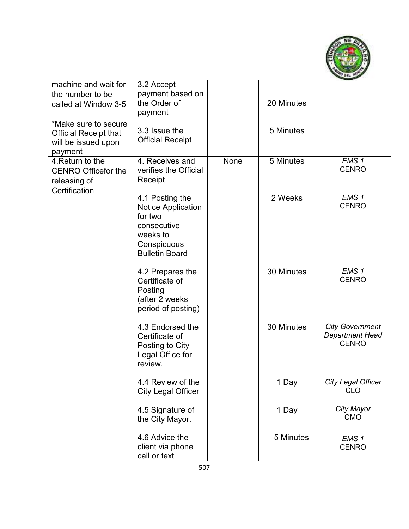

| machine and wait for<br>the number to be<br>called at Window 3-5<br>*Make sure to secure<br><b>Official Receipt that</b><br>will be issued upon<br>payment | 3.2 Accept<br>payment based on<br>the Order of<br>payment<br>3.3 Issue the<br><b>Official Receipt</b>                      |      | 20 Minutes<br>5 Minutes |                                                                  |
|------------------------------------------------------------------------------------------------------------------------------------------------------------|----------------------------------------------------------------------------------------------------------------------------|------|-------------------------|------------------------------------------------------------------|
| 4. Return to the<br><b>CENRO Officefor the</b><br>releasing of<br>Certification                                                                            | 4. Receives and<br>verifies the Official<br>Receipt                                                                        | None | 5 Minutes               | EMS <sub>1</sub><br><b>CENRO</b>                                 |
|                                                                                                                                                            | 4.1 Posting the<br><b>Notice Application</b><br>for two<br>consecutive<br>weeks to<br>Conspicuous<br><b>Bulletin Board</b> |      | 2 Weeks                 | EMS <sub>1</sub><br><b>CENRO</b>                                 |
|                                                                                                                                                            | 4.2 Prepares the<br>Certificate of<br>Posting<br>(after 2 weeks<br>period of posting)                                      |      | 30 Minutes              | EMS <sub>1</sub><br><b>CENRO</b>                                 |
|                                                                                                                                                            | 4.3 Endorsed the<br>Certificate of<br>Posting to City<br>Legal Office for<br>review.                                       |      | 30 Minutes              | <b>City Government</b><br><b>Department Head</b><br><b>CENRO</b> |
|                                                                                                                                                            | 4.4 Review of the<br><b>City Legal Officer</b>                                                                             |      | 1 Day                   | City Legal Officer<br><b>CLO</b>                                 |
|                                                                                                                                                            | 4.5 Signature of<br>the City Mayor.                                                                                        |      | 1 Day                   | City Mayor<br><b>CMO</b>                                         |
|                                                                                                                                                            | 4.6 Advice the<br>client via phone<br>call or text                                                                         |      | 5 Minutes               | EMS <sub>1</sub><br><b>CENRO</b>                                 |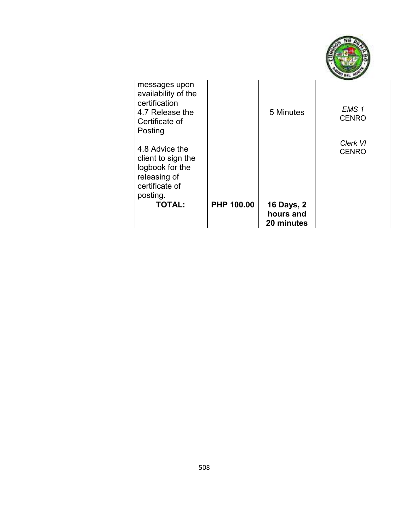

| messages upon<br>availability of the<br>certification<br>4.7 Release the<br>Certificate of |            | 5 Minutes                                    | EMS <sub>1</sub><br><b>CENRO</b> |
|--------------------------------------------------------------------------------------------|------------|----------------------------------------------|----------------------------------|
| Posting<br>4.8 Advice the<br>client to sign the<br>logbook for the                         |            |                                              | Clerk VI<br><b>CENRO</b>         |
| releasing of<br>certificate of<br>posting.                                                 |            |                                              |                                  |
| <b>TOTAL:</b>                                                                              | PHP 100.00 | <b>16 Days, 2</b><br>hours and<br>20 minutes |                                  |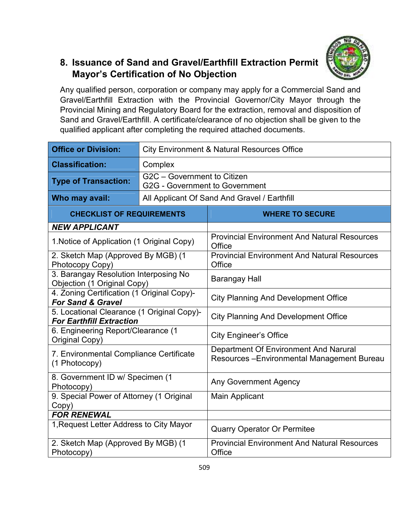### **8. Issuance of Sand and Gravel/Earthfill Extraction Permit Mayor's Certification of No Objection**

Any qualified person, corporation or company may apply for a Commercial Sand and Gravel/Earthfill Extraction with the Provincial Governor/City Mayor through the Provincial Mining and Regulatory Board for the extraction, removal and disposition of Sand and Gravel/Earthfill. A certificate/clearance of no objection shall be given to the qualified applicant after completing the required attached documents.

| <b>Office or Division:</b>                                                    | <b>City Environment &amp; Natural Resources Office</b> |                                                                                      |  |  |
|-------------------------------------------------------------------------------|--------------------------------------------------------|--------------------------------------------------------------------------------------|--|--|
| <b>Classification:</b>                                                        | Complex                                                |                                                                                      |  |  |
| <b>Type of Transaction:</b>                                                   |                                                        | G2C - Government to Citizen<br><b>G2G - Government to Government</b>                 |  |  |
| Who may avail:                                                                |                                                        | All Applicant Of Sand And Gravel / Earthfill                                         |  |  |
| <b>CHECKLIST OF REQUIREMENTS</b>                                              |                                                        | <b>WHERE TO SECURE</b>                                                               |  |  |
| <b>NEW APPLICANT</b>                                                          |                                                        |                                                                                      |  |  |
| 1. Notice of Application (1 Original Copy)                                    |                                                        | <b>Provincial Environment And Natural Resources</b><br>Office                        |  |  |
| 2. Sketch Map (Approved By MGB) (1<br>Photocopy Copy)                         |                                                        | <b>Provincial Environment And Natural Resources</b><br>Office                        |  |  |
| 3. Barangay Resolution Interposing No<br>Objection (1 Original Copy)          |                                                        | <b>Barangay Hall</b>                                                                 |  |  |
| 4. Zoning Certification (1 Original Copy)-<br><b>For Sand &amp; Gravel</b>    |                                                        | <b>City Planning And Development Office</b>                                          |  |  |
| 5. Locational Clearance (1 Original Copy)-<br><b>For Earthfill Extraction</b> |                                                        | <b>City Planning And Development Office</b>                                          |  |  |
| 6. Engineering Report/Clearance (1<br>Original Copy)                          |                                                        | <b>City Engineer's Office</b>                                                        |  |  |
| 7. Environmental Compliance Certificate<br>(1 Photocopy)                      |                                                        | Department Of Environment And Narural<br>Resources - Environmental Management Bureau |  |  |
| 8. Government ID w/ Specimen (1<br>Photocopy)                                 |                                                        | <b>Any Government Agency</b>                                                         |  |  |
| 9. Special Power of Attorney (1 Original<br>Copy)                             |                                                        | <b>Main Applicant</b>                                                                |  |  |
| <b>FOR RENEWAL</b>                                                            |                                                        |                                                                                      |  |  |
| 1, Request Letter Address to City Mayor                                       |                                                        | <b>Quarry Operator Or Permitee</b>                                                   |  |  |
| 2. Sketch Map (Approved By MGB) (1<br>Photocopy)                              |                                                        | <b>Provincial Environment And Natural Resources</b><br>Office                        |  |  |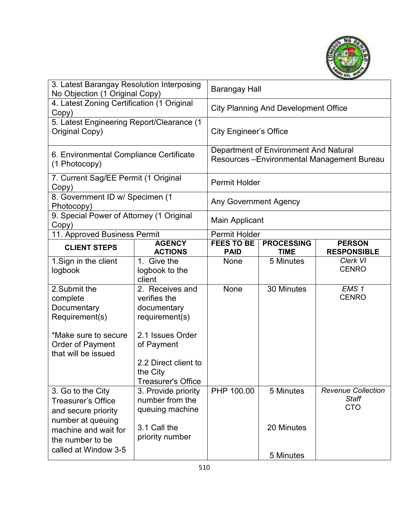

| 3. Latest Barangay Resolution Interposing<br>No Objection (1 Original Copy)                                                   |                                                                                                    | Barangay Hall                                                                        |                                  |                                                         |
|-------------------------------------------------------------------------------------------------------------------------------|----------------------------------------------------------------------------------------------------|--------------------------------------------------------------------------------------|----------------------------------|---------------------------------------------------------|
| 4. Latest Zoning Certification (1 Original<br>Copy)                                                                           |                                                                                                    | <b>City Planning And Development Office</b>                                          |                                  |                                                         |
| 5. Latest Engineering Report/Clearance (1<br>Original Copy)                                                                   |                                                                                                    | <b>City Engineer's Office</b>                                                        |                                  |                                                         |
| 6. Environmental Compliance Certificate<br>(1 Photocopy)                                                                      |                                                                                                    | Department of Environment And Natural<br>Resources - Environmental Management Bureau |                                  |                                                         |
| 7. Current Sag/EE Permit (1 Original<br>Copy)                                                                                 |                                                                                                    | <b>Permit Holder</b>                                                                 |                                  |                                                         |
| 8. Government ID w/ Specimen (1<br>Photocopy)                                                                                 |                                                                                                    | <b>Any Government Agency</b>                                                         |                                  |                                                         |
| 9. Special Power of Attorney (1 Original<br>Copy)                                                                             |                                                                                                    | <b>Main Applicant</b>                                                                |                                  |                                                         |
| 11. Approved Business Permit                                                                                                  |                                                                                                    | Permit Holder                                                                        |                                  |                                                         |
| <b>CLIENT STEPS</b>                                                                                                           | <b>AGENCY</b><br><b>ACTIONS</b>                                                                    | <b>FEES TO BE</b><br><b>PAID</b>                                                     | <b>PROCESSING</b><br><b>TIME</b> | <b>PERSON</b><br><b>RESPONSIBLE</b>                     |
| 1. Sign in the client                                                                                                         | 1. Give the                                                                                        | None                                                                                 | 5 Minutes                        | Clerk VI<br><b>CENRO</b>                                |
| logbook                                                                                                                       | logbook to the<br>client                                                                           |                                                                                      |                                  |                                                         |
| 2. Submit the<br>complete<br>Documentary<br>Requirement(s)<br>*Make sure to secure<br>Order of Payment<br>that will be issued | 2. Receives and<br>verifies the<br>documentary<br>requirement(s)<br>2.1 Issues Order<br>of Payment | None                                                                                 | 30 Minutes                       | EMS <sub>1</sub><br><b>CENRO</b>                        |
|                                                                                                                               | 2.2 Direct client to<br>the City<br><b>Treasurer's Office</b>                                      |                                                                                      |                                  |                                                         |
| 3. Go to the City<br><b>Treasurer's Office</b><br>and secure priority                                                         | 3. Provide priority<br>number from the<br>queuing machine                                          | PHP 100.00                                                                           | 5 Minutes                        | <b>Revenue Collection</b><br><b>Staff</b><br><b>CTO</b> |
| number at queuing<br>machine and wait for<br>the number to be<br>called at Window 3-5                                         | 3.1 Call the<br>priority number                                                                    |                                                                                      | 20 Minutes<br>5 Minutes          |                                                         |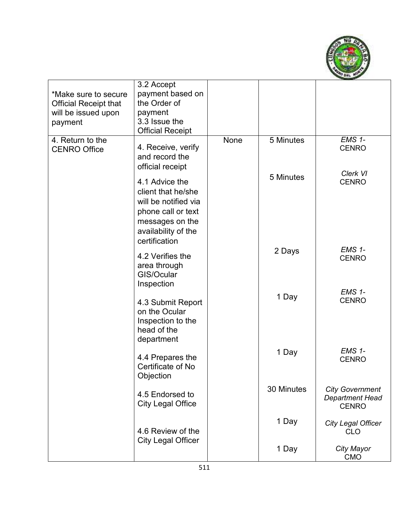

| *Make sure to secure<br><b>Official Receipt that</b><br>will be issued upon<br>payment | 3.2 Accept<br>payment based on<br>the Order of<br>payment<br>3.3 Issue the<br><b>Official Receipt</b>                                         |      |            |                                                                  |
|----------------------------------------------------------------------------------------|-----------------------------------------------------------------------------------------------------------------------------------------------|------|------------|------------------------------------------------------------------|
| 4. Return to the<br><b>CENRO Office</b>                                                | 4. Receive, verify<br>and record the<br>official receipt                                                                                      | None | 5 Minutes  | $EMS$ 1-<br><b>CENRO</b>                                         |
|                                                                                        | 4.1 Advice the<br>client that he/she<br>will be notified via<br>phone call or text<br>messages on the<br>availability of the<br>certification |      | 5 Minutes  | Clerk VI<br><b>CENRO</b>                                         |
|                                                                                        | 4.2 Verifies the<br>area through<br>GIS/Ocular<br>Inspection                                                                                  |      | 2 Days     | EMS 1-<br><b>CENRO</b>                                           |
|                                                                                        | 4.3 Submit Report<br>on the Ocular<br>Inspection to the<br>head of the<br>department                                                          |      | 1 Day      | <b>EMS 1-</b><br><b>CENRO</b>                                    |
|                                                                                        | 4.4 Prepares the<br>Certificate of No<br>Objection                                                                                            |      | 1 Day      | <b>EMS 1-</b><br><b>CENRO</b>                                    |
|                                                                                        | 4.5 Endorsed to<br><b>City Legal Office</b>                                                                                                   |      | 30 Minutes | <b>City Government</b><br><b>Department Head</b><br><b>CENRO</b> |
|                                                                                        | 4.6 Review of the<br><b>City Legal Officer</b>                                                                                                |      | 1 Day      | <b>City Legal Officer</b><br><b>CLO</b>                          |
|                                                                                        |                                                                                                                                               |      | 1 Day      | City Mayor<br><b>CMO</b>                                         |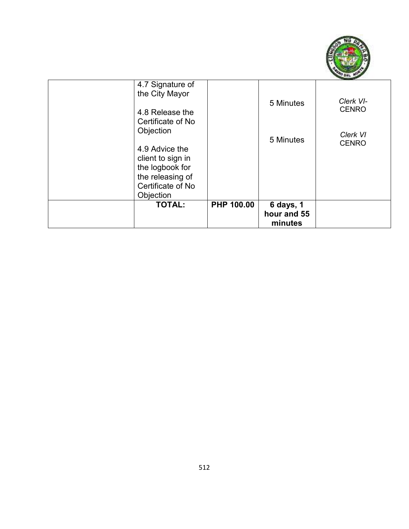

| 4.7 Signature of<br>the City Mayor<br>4.8 Release the<br>Certificate of No<br>Objection<br>4.9 Advice the<br>client to sign in<br>the logbook for<br>the releasing of |            | 5 Minutes<br>5 Minutes              | Clerk VI-<br><b>CENRO</b><br>Clerk VI<br><b>CENRO</b> |
|-----------------------------------------------------------------------------------------------------------------------------------------------------------------------|------------|-------------------------------------|-------------------------------------------------------|
| Certificate of No<br>Objection                                                                                                                                        |            |                                     |                                                       |
| <b>TOTAL:</b>                                                                                                                                                         | PHP 100.00 | 6 days, 1<br>hour and 55<br>minutes |                                                       |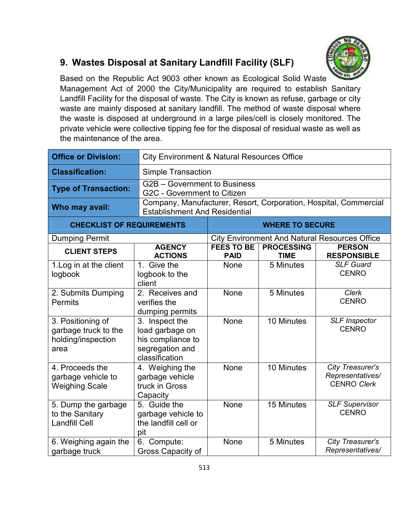

#### **9. Wastes Disposal at Sanitary Landfill Facility (SLF)**

Based on the Republic Act 9003 other known as Ecological Solid Waste Management Act of 2000 the City/Municipality are required to establish Sanitary Landfill Facility for the disposal of waste. The City is known as refuse, garbage or city waste are mainly disposed at sanitary landfill. The method of waste disposal where the waste is disposed at underground in a large piles/cell is closely monitored. The private vehicle were collective tipping fee for the disposal of residual waste as well as the maintenance of the area.

| <b>Office or Division:</b>                                              | <b>City Environment &amp; Natural Resources Office</b>                                      |                                                                                                          |                                  |                                                            |  |
|-------------------------------------------------------------------------|---------------------------------------------------------------------------------------------|----------------------------------------------------------------------------------------------------------|----------------------------------|------------------------------------------------------------|--|
| <b>Classification:</b>                                                  | <b>Simple Transaction</b>                                                                   |                                                                                                          |                                  |                                                            |  |
| <b>Type of Transaction:</b>                                             |                                                                                             | G2B – Government to Business<br>G2C - Government to Citizen                                              |                                  |                                                            |  |
| Who may avail:                                                          |                                                                                             | Company, Manufacturer, Resort, Corporation, Hospital, Commercial<br><b>Establishment And Residential</b> |                                  |                                                            |  |
| <b>CHECKLIST OF REQUIREMENTS</b>                                        |                                                                                             |                                                                                                          | <b>WHERE TO SECURE</b>           |                                                            |  |
| <b>Dumping Permit</b>                                                   |                                                                                             |                                                                                                          |                                  | <b>City Environment And Natural Resources Office</b>       |  |
| <b>CLIENT STEPS</b>                                                     | <b>AGENCY</b><br><b>ACTIONS</b>                                                             | <b>FEES TO BE</b><br><b>PAID</b>                                                                         | <b>PROCESSING</b><br><b>TIME</b> | <b>PERSON</b><br><b>RESPONSIBLE</b>                        |  |
| 1. Log in at the client<br>logbook                                      | 1. Give the<br>logbook to the<br>client                                                     | <b>None</b>                                                                                              | 5 Minutes                        | <b>SLF Guard</b><br><b>CENRO</b>                           |  |
| 2. Submits Dumping<br><b>Permits</b>                                    | 2. Receives and<br>verifies the<br>dumping permits                                          | None                                                                                                     | 5 Minutes                        | Clerk<br><b>CENRO</b>                                      |  |
| 3. Positioning of<br>garbage truck to the<br>holding/inspection<br>area | 3. Inspect the<br>load garbage on<br>his compliance to<br>segregation and<br>classification | None                                                                                                     | 10 Minutes                       | <b>SLF Inspector</b><br><b>CENRO</b>                       |  |
| 4. Proceeds the<br>garbage vehicle to<br><b>Weighing Scale</b>          | 4. Weighing the<br>garbage vehicle<br>truck in Gross<br>Capacity                            | None                                                                                                     | 10 Minutes                       | City Treasurer's<br>Representatives/<br><b>CENRO Clerk</b> |  |
| 5. Dump the garbage<br>to the Sanitary<br><b>Landfill Cell</b>          | 5. Guide the<br>garbage vehicle to<br>the landfill cell or<br>pit                           | None                                                                                                     | 15 Minutes                       | <b>SLF Supervisor</b><br><b>CENRO</b>                      |  |
| 6. Weighing again the<br>garbage truck                                  | 6. Compute:<br>Gross Capacity of                                                            | None                                                                                                     | 5 Minutes                        | <b>City Treasurer's</b><br>Representatives/                |  |